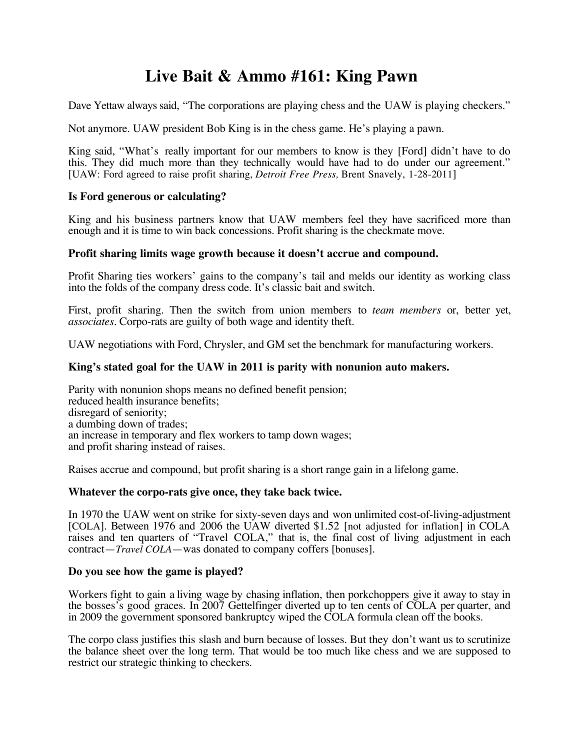# **Live Bait & Ammo #161: King Pawn**

Dave Yettaw always said, "The corporations are playing chess and the UAW is playing checkers."

Not anymore. UAW president Bob King is in the chess game. He's playing a pawn.

King said, "What's really important for our members to know is they [Ford] didn't have to do this. They did much more than they technically would have had to do under our agreement." [UAW: Ford agreed to raise profit sharing, *Detroit Free Press,* Brent Snavely, 1-28-2011]

## **Is Ford generous or calculating?**

King and his business partners know that UAW members feel they have sacrificed more than enough and it is time to win back concessions. Profit sharing is the checkmate move.

#### **Profit sharing limits wage growth because it doesn't accrue and compound.**

Profit Sharing ties workers' gains to the company's tail and melds our identity as working class into the folds of the company dress code. It's classic bait and switch.

First, profit sharing. Then the switch from union members to *team members* or, better yet, *associates*. Corpo-rats are guilty of both wage and identity theft.

UAW negotiations with Ford, Chrysler, and GM set the benchmark for manufacturing workers.

## **King's stated goal for the UAW in 2011 is parity with nonunion auto makers.**

Parity with nonunion shops means no defined benefit pension; reduced health insurance benefits; disregard of seniority; a dumbing down of trades; an increase in temporary and flex workers to tamp down wages; and profit sharing instead of raises.

Raises accrue and compound, but profit sharing is a short range gain in a lifelong game.

#### **Whatever the corpo-rats give once, they take back twice.**

In 1970 the UAW went on strike for sixty-seven days and won unlimited cost-of-living-adjustment [COLA]. Between 1976 and 2006 the UAW diverted \$1.52 [not adjusted for inflation] in COLA raises and ten quarters of "Travel COLA," that is, the final cost of living adjustment in each contract—*Travel COLA*—was donated to company coffers [bonuses].

#### **Do you see how the game is played?**

Workers fight to gain a living wage by chasing inflation, then porkchoppers give it away to stay in the bosses's good graces. In 2007 Gettelfinger diverted up to ten cents of COLA per quarter, and in 2009 the government sponsored bankruptcy wiped the COLA formula clean off the books.

The corpo class justifies this slash and burn because of losses. But they don't want us to scrutinize the balance sheet over the long term. That would be too much like chess and we are supposed to restrict our strategic thinking to checkers.